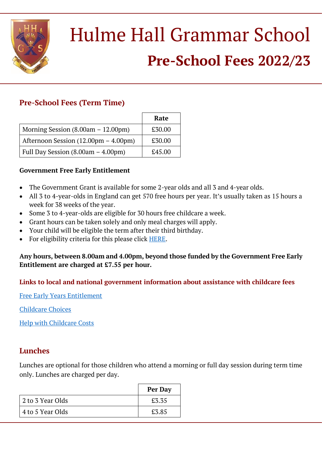

# Hulme Hall Grammar School **Pre-School Fees 2022/23**

## **Pre-School Fees (Term Time)**

|                                      | Rate   |
|--------------------------------------|--------|
| Morning Session $(8.00am - 12.00pm)$ | £30.00 |
| Afternoon Session (12.00pm – 4.00pm) | £30.00 |
| Full Day Session $(8.00am - 4.00pm)$ | £45.00 |

#### **Government Free Early Entitlement**

- The Government Grant is available for some 2-year olds and all 3 and 4-year olds.
- All 3 to 4-year-olds in England can get 570 free hours per year. It's usually taken as 15 hours a week for 38 weeks of the year.
- Some 3 to 4-year-olds are eligible for 30 hours free childcare a week.
- Grant hours can be taken solely and only meal charges will apply.
- Your child will be eligible the term after their third birthday.
- For eligibility criteria for this please click [HERE.](https://www.gov.uk/help-with-childcare-costs/free-childcare-and-education-for-2-to-4-year-olds)

#### **Any hours, between 8.00am and 4.00pm, beyond those funded by the Government Free Early Entitlement are charged at £7.55 per hour.**

#### **Links to local and national government information about assistance with childcare fees**

[Free Early Years Entitlement](https://www.stockport.gov.uk/early-years-entitlement-funding/2-year-old-early-education)

[Childcare Choices](https://www.childcarechoices.gov.uk/)

[Help with Childcare Costs](https://www.gov.uk/help-with-childcare-costs/free-childcare-and-education-for-2-to-4-year-olds)

### **Lunches**

Lunches are optional for those children who attend a morning or full day session during term time only. Lunches are charged per day.

|                  | Per Day |
|------------------|---------|
| 2 to 3 Year Olds | £3.35   |
| 4 to 5 Year Olds | £3.85   |